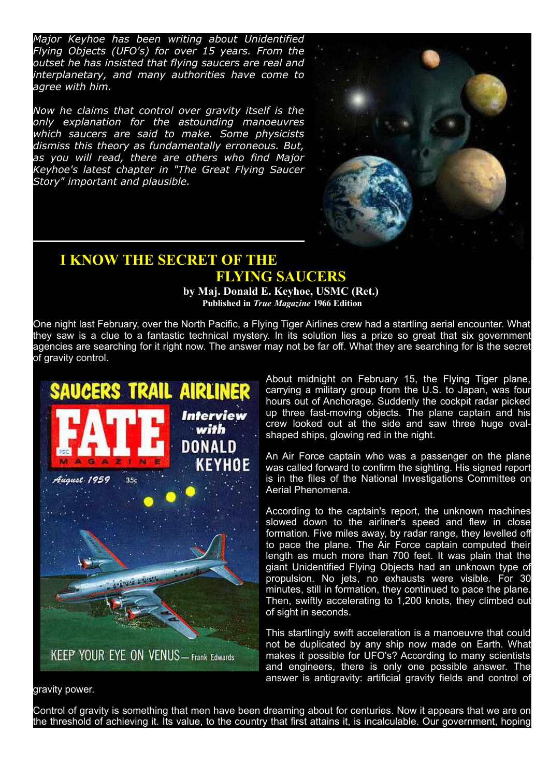*Major Keyhoe has been writing about Unidentified Flying Objects (UFO's) for over 15 years. From the outset he has insisted that flying saucers are real and interplanetary, and many authorities have come to agree with him.*

*Now he claims that control over gravity itself is the only explanation for the astounding manoeuvres which saucers are said to make. Some physicists dismiss this theory as fundamentally erroneous. But, as you will read, there are others who find Major Keyhoe's latest chapter in "The Great Flying Saucer Story" important and plausible.*



## I KNOW THE SECRET OF THE FLYING SAUCERS

by Maj. Donald E. Keyhoe, USMC (Ret.) Published in True Magazine 1966 Edition

One night last February, over the North Pacific, a Flying Tiger Airlines crew had a startling aerial encounter. What they saw is a clue to a fantastic technical mystery. In its solution lies a prize so great that six government agencies are searching for it right now. The answer may not be far off. What they are searching for is the secret of gravity control.



About midnight on February 15, the Flying Tiger plane, carrying a military group from the U.S. to Japan, was four hours out of Anchorage. Suddenly the cockpit radar picked up three fast-moving objects. The plane captain and his crew looked out at the side and saw three huge ovalshaped ships, glowing red in the night.

An Air Force captain who was a passenger on the plane was called forward to confirm the sighting. His signed report is in the files of the National Investigations Committee on Aerial Phenomena.

According to the captain's report, the unknown machines slowed down to the airliner's speed and flew in close formation. Five miles away, by radar range, they levelled off to pace the plane. The Air Force captain computed their length as much more than 700 feet. It was plain that the giant Unidentified Flying Objects had an unknown type of propulsion. No jets, no exhausts were visible. For 30 minutes, still in formation, they continued to pace the plane. Then, swiftly accelerating to 1,200 knots, they climbed out of sight in seconds.

This startlingly swift acceleration is a manoeuvre that could not be duplicated by any ship now made on Earth. What makes it possible for UFO's? According to many scientists and engineers, there is only one possible answer. The answer is antigravity: artificial gravity fields and control of

gravity power.

Control of gravity is something that men have been dreaming about for centuries. Now it appears that we are on the threshold of achieving it. Its value, to the country that first attains it, is incalculable. Our government, hoping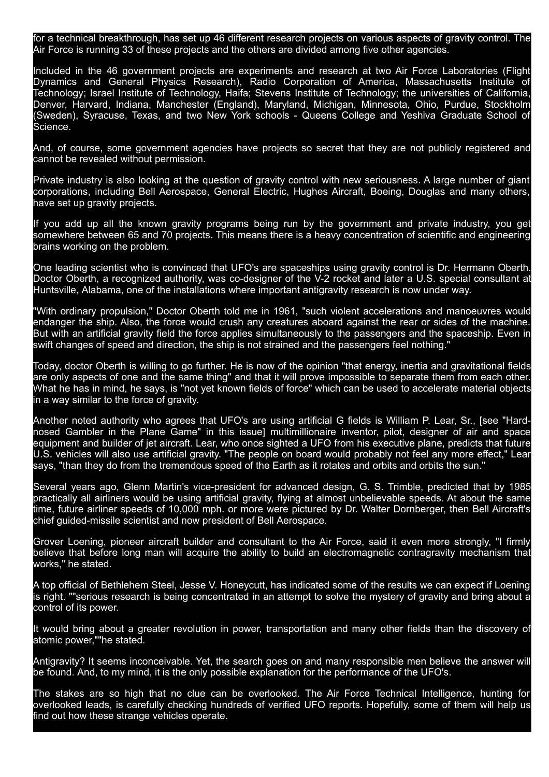for a technical breakthrough, has set up 46 different research projects on various aspects of gravity control. The Air Force is running 33 of these projects and the others are divided among five other agencies.

Included in the 46 government projects are experiments and research at two Air Force Laboratories (Flight Dynamics and General Physics Research), Radio Corporation of America, Massachusetts Institute of Technology; Israel Institute of Technology, Haifa; Stevens Institute of Technology; the universities of California, Denver, Harvard, Indiana, Manchester (England), Maryland, Michigan, Minnesota, Ohio, Purdue, Stockholm (Sweden), Syracuse, Texas, and two New York schools - Queens College and Yeshiva Graduate School of Science.

And, of course, some government agencies have projects so secret that they are not publicly registered and cannot be revealed without permission.

Private industry is also looking at the question of gravity control with new seriousness. A large number of giant corporations, including Bell Aerospace, General Electric, Hughes Aircraft, Boeing, Douglas and many others, have set up gravity projects.

If you add up all the known gravity programs being run by the government and private industry, you get somewhere between 65 and 70 projects. This means there is a heavy concentration of scientific and engineering brains working on the problem.

One leading scientist who is convinced that UFO's are spaceships using gravity control is Dr. Hermann Oberth. Doctor Oberth, a recognized authority, was co-designer of the V-2 rocket and later a U.S. special consultant at Huntsville, Alabama, one of the installations where important antigravity research is now under way.

"With ordinary propulsion," Doctor Oberth told me in 1961, "such violent accelerations and manoeuvres would endanger the ship. Also, the force would crush any creatures aboard against the rear or sides of the machine. But with an artificial gravity field the force applies simultaneously to the passengers and the spaceship. Even in swift changes of speed and direction, the ship is not strained and the passengers feel nothing."

Today, doctor Oberth is willing to go further. He is now of the opinion "that energy, inertia and gravitational fields are only aspects of one and the same thing" and that it will prove impossible to separate them from each other. What he has in mind, he says, is "not yet known fields of force" which can be used to accelerate material objects in a way similar to the force of gravity.

Another noted authority who agrees that UFO's are using artificial G fields is William P. Lear, Sr., [see "Hardnosed Gambler in the Plane Game" in this issuel multimillionaire inventor, pilot, designer of air and space equipment and builder of jet aircraft. Lear, who once sighted a UFO from his executive plane, predicts that future U.S. vehicles will also use artificial gravity. "The people on board would probably not feel any more effect," Lear says, "than they do from the tremendous speed of the Earth as it rotates and orbits and orbits the sun."

Several years ago, Glenn Martin's vice-president for advanced design, G. S. Trimble, predicted that by 1985 practically all airliners would be using artificial gravity, flying at almost unbelievable speeds. At about the same time, future airliner speeds of 10,000 mph. or more were pictured by Dr. Walter Dornberger, then Bell Aircraft's chief guided-missile scientist and now president of Bell Aerospace.

Grover Loening, pioneer aircraft builder and consultant to the Air Force, said it even more strongly, "I firmly believe that before long man will acquire the ability to build an electromagnetic contragravity mechanism that works," he stated.

A top official of Bethlehem Steel, Jesse V. Honeycutt, has indicated some of the results we can expect if Loening is right. ""serious research is being concentrated in an attempt to solve the mystery of gravity and bring about a control of its power.

It would bring about a greater revolution in power, transportation and many other fields than the discovery of atomic power,""he stated.

Antigravity? It seems inconceivable. Yet, the search goes on and many responsible men believe the answer will be found. And, to my mind, it is the only possible explanation for the performance of the UFO's.

The stakes are so high that no clue can be overlooked. The Air Force Technical Intelligence, hunting for overlooked leads, is carefully checking hundreds of verified UFO reports. Hopefully, some of them will help us find out how these strange vehicles operate.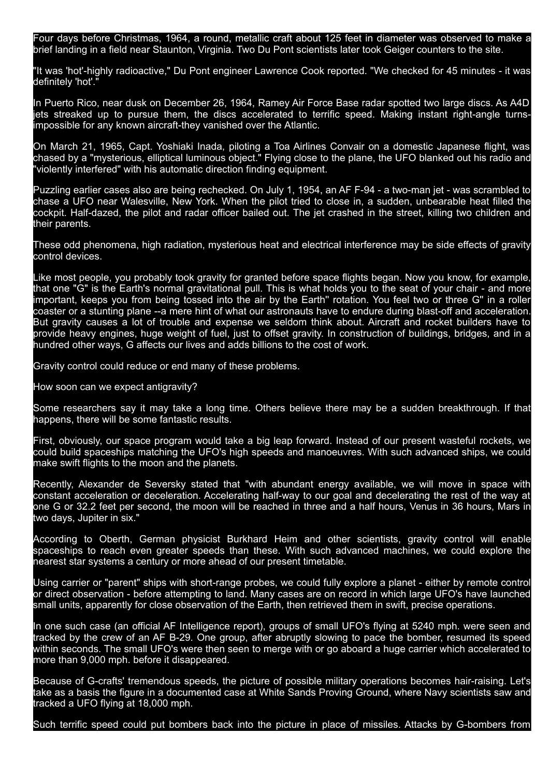Four days before Christmas, 1964, a round, metallic craft about 125 feet in diameter was observed to make a brief landing in a field near Staunton, Virginia. Two Du Pont scientists later took Geiger counters to the site.

"It was 'hot'-highly radioactive," Du Pont engineer Lawrence Cook reported. "We checked for 45 minutes - it was definitely 'hot'.

In Puerto Rico, near dusk on December 26, 1964, Ramey Air Force Base radar spotted two large discs. As A4D jets streaked up to pursue them, the discs accelerated to terrific speed. Making instant right-angle turnsimpossible for any known aircraft-they vanished over the Atlantic.

On March 21, 1965, Capt. Yoshiaki Inada, piloting a Toa Airlines Convair on a domestic Japanese flight, was chased by a "mysterious, elliptical luminous object." Flying close to the plane, the UFO blanked out his radio and violently interfered" with his automatic direction finding equipment.

Puzzling earlier cases also are being rechecked. On July 1, 1954, an AF F-94 - a two-man jet - was scrambled to chase a UFO near Walesville, New York. When the pilot tried to close in, a sudden, unbearable heat filled the cockpit. Half-dazed, the pilot and radar officer bailed out. The jet crashed in the street, killing two children and their parents.

These odd phenomena, high radiation, mysterious heat and electrical interference may be side effects of gravity control devices.

Like most people, you probably took gravity for granted before space flights began. Now you know, for example, that one "G" is the Earth's normal gravitational pull. This is what holds you to the seat of your chair - and more important, keeps you from being tossed into the air by the Earth'' rotation. You feel two or three G'' in a roller coaster or a stunting plane --a mere hint of what our astronauts have to endure during blast-off and acceleration. But gravity causes a lot of trouble and expense we seldom think about. Aircraft and rocket builders have to provide heavy engines, huge weight of fuel, just to offset gravity. In construction of buildings, bridges, and in a hundred other ways, G affects our lives and adds billions to the cost of work.

Gravity control could reduce or end many of these problems.

How soon can we expect antigravity?

Some researchers say it may take a long time. Others believe there may be a sudden breakthrough. If that happens, there will be some fantastic results.

First, obviously, our space program would take a big leap forward. Instead of our present wasteful rockets, we could build spaceships matching the UFO's high speeds and manoeuvres. With such advanced ships, we could make swift flights to the moon and the planets.

Recently, Alexander de Seversky stated that "with abundant energy available, we will move in space with constant acceleration or deceleration. Accelerating half-way to our goal and decelerating the rest of the way at one G or 32.2 feet per second, the moon will be reached in three and a half hours, Venus in 36 hours, Mars in two days, Jupiter in six."

According to Oberth, German physicist Burkhard Heim and other scientists, gravity control will enable spaceships to reach even greater speeds than these. With such advanced machines, we could explore the nearest star systems a century or more ahead of our present timetable.

Using carrier or "parent" ships with short-range probes, we could fully explore a planet - either by remote control or direct observation - before attempting to land. Many cases are on record in which large UFO's have launched small units, apparently for close observation of the Earth, then retrieved them in swift, precise operations.

In one such case (an official AF Intelligence report), groups of small UFO's flying at 5240 mph. were seen and tracked by the crew of an AF B29. One group, after abruptly slowing to pace the bomber, resumed its speed within seconds. The small UFO's were then seen to merge with or go aboard a huge carrier which accelerated to more than 9,000 mph. before it disappeared.

Because of G-crafts' tremendous speeds, the picture of possible military operations becomes hair-raising. Let's take as a basis the figure in a documented case at White Sands Proving Ground, where Navy scientists saw and tracked a UFO flying at 18,000 mph.

Such terrific speed could put bombers back into the picture in place of missiles. Attacks by G-bombers from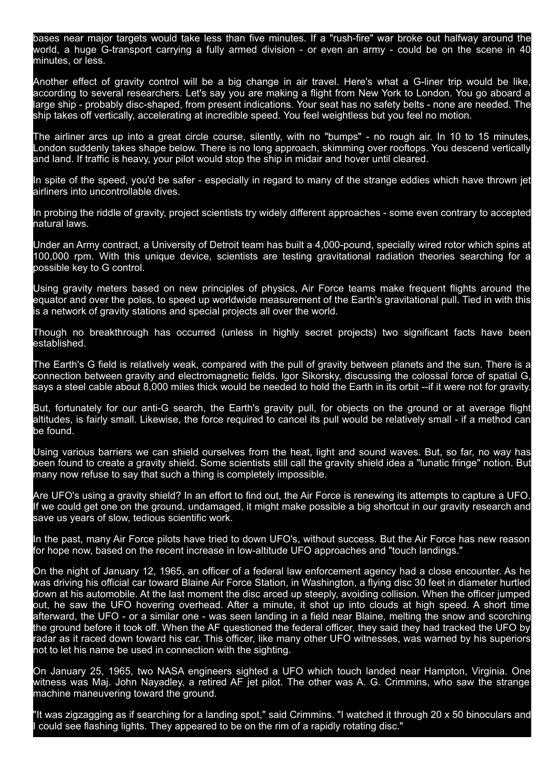bases near major targets would take less than five minutes. If a "rush-fire" war broke out halfway around the world, a huge G-transport carrying a fully armed division - or even an army - could be on the scene in 40 minutes, or less.

Another effect of gravity control will be a big change in air travel. Here's what a G-liner trip would be like, according to several researchers. Let's say you are making a flight from New York to London. You go aboard a large ship - probably disc-shaped, from present indications. Your seat has no safety belts - none are needed. The ship takes off vertically, accelerating at incredible speed. You feel weightless but you feel no motion.

The airliner arcs up into a great circle course, silently, with no "bumps" - no rough air. In 10 to 15 minutes, London suddenly takes shape below. There is no long approach, skimming over rooftops. You descend vertically and land. If traffic is heavy, your pilot would stop the ship in midair and hover until cleared.

In spite of the speed, you'd be safer - especially in regard to many of the strange eddies which have thrown jet airliners into uncontrollable dives.

In probing the riddle of gravity, project scientists try widely different approaches - some even contrary to accepted natural laws.

Under an Army contract, a University of Detroit team has built a 4,000-pound, specially wired rotor which spins at 100,000 rpm. With this unique device, scientists are testing gravitational radiation theories searching for a possible key to G control.

Using gravity meters based on new principles of physics, Air Force teams make frequent flights around the equator and over the poles, to speed up worldwide measurement of the Earth's gravitational pull. Tied in with this is a network of gravity stations and special projects all over the world.

Though no breakthrough has occurred (unless in highly secret projects) two significant facts have been established.

The Earth's G field is relatively weak, compared with the pull of gravity between planets and the sun. There is a connection between gravity and electromagnetic fields. Igor Sikorsky, discussing the colossal force of spatial G, says a steel cable about 8,000 miles thick would be needed to hold the Earth in its orbit --if it were not for gravity.

But, fortunately for our anti-G search, the Earth's gravity pull, for objects on the ground or at average flight altitudes, is fairly small. Likewise, the force required to cancel its pull would be relatively small - if a method can be found.

Using various barriers we can shield ourselves from the heat, light and sound waves. But, so far, no way has been found to create a gravity shield. Some scientists still call the gravity shield idea a "lunatic fringe" notion. But many now refuse to say that such a thing is completely impossible.

Are UFO's using a gravity shield? In an effort to find out, the Air Force is renewing its attempts to capture a UFO. If we could get one on the ground, undamaged, it might make possible a big shortcut in our gravity research and save us years of slow, tedious scientific work.

In the past, many Air Force pilots have tried to down UFO's, without success. But the Air Force has new reason for hope now, based on the recent increase in low-altitude UFO approaches and "touch landings."

On the night of January 12, 1965, an officer of a federal law enforcement agency had a close encounter. As he was driving his official car toward Blaine Air Force Station, in Washington, a flying disc 30 feet in diameter hurtled down at his automobile. At the last moment the disc arced up steeply, avoiding collision. When the officer jumped out, he saw the UFO hovering overhead. After a minute, it shot up into clouds at high speed. A short time afterward, the UFO - or a similar one - was seen landing in a field near Blaine, melting the snow and scorching the ground before it took off. When the AF questioned the federal officer, they said they had tracked the UFO by radar as it raced down toward his car. This officer, like many other UFO witnesses, was warned by his superiors not to let his name be used in connection with the sighting.

On January 25, 1965, two NASA engineers sighted a UFO which touch landed near Hampton, Virginia. One witness was Maj. John Nayadley, a retired AF jet pilot. The other was A. G. Crimmins, who saw the strange machine maneuvering toward the ground.

"It was zigzagging as if searching for a landing spot," said Crimmins. "I watched it through 20 x 50 binoculars and could see flashing lights. They appeared to be on the rim of a rapidly rotating disc."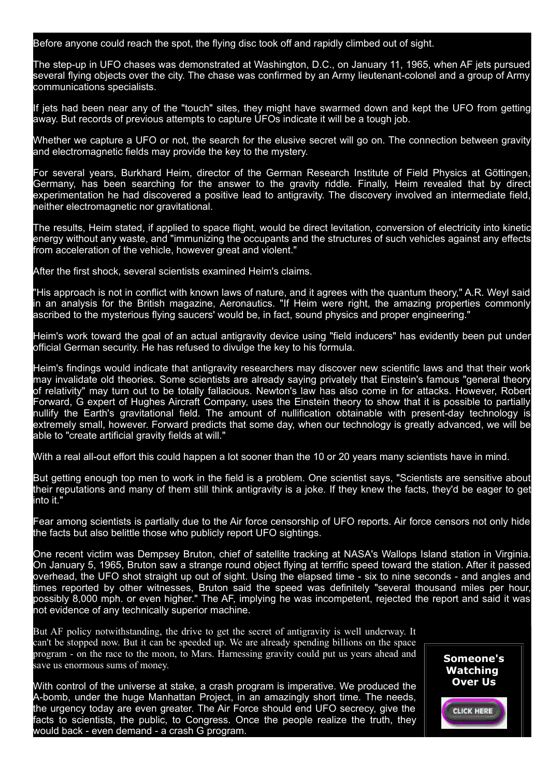Before anyone could reach the spot, the flying disc took off and rapidly climbed out of sight.

The step-up in UFO chases was demonstrated at Washington, D.C., on January 11, 1965, when AF jets pursued several flying objects over the city. The chase was confirmed by an Army lieutenant-colonel and a group of Army communications specialists.

If jets had been near any of the "touch" sites, they might have swarmed down and kept the UFO from getting away. But records of previous attempts to capture UFOs indicate it will be a tough job.

Whether we capture a UFO or not, the search for the elusive secret will go on. The connection between gravity and electromagnetic fields may provide the key to the mystery.

For several years, Burkhard Heim, director of the German Research Institute of Field Physics at Göttingen, Germany, has been searching for the answer to the gravity riddle. Finally, Heim revealed that by direct experimentation he had discovered a positive lead to antigravity. The discovery involved an intermediate field, neither electromagnetic nor gravitational.

The results, Heim stated, if applied to space flight, would be direct levitation, conversion of electricity into kinetic energy without any waste, and "immunizing the occupants and the structures of such vehicles against any effects from acceleration of the vehicle, however great and violent."

After the first shock, several scientists examined Heim's claims.

"His approach is not in conflict with known laws of nature, and it agrees with the quantum theory," A.R. Weyl said in an analysis for the British magazine, Aeronautics. "If Heim were right, the amazing properties commonly ascribed to the mysterious flying saucers' would be, in fact, sound physics and proper engineering."

Heim's work toward the goal of an actual antigravity device using "field inducers" has evidently been put under official German security. He has refused to divulge the key to his formula.

Heim's findings would indicate that antigravity researchers may discover new scientific laws and that their work may invalidate old theories. Some scientists are already saying privately that Einstein's famous "general theory of relativity" may turn out to be totally fallacious. Newton's law has also come in for attacks. However, Robert Forward, G expert of Hughes Aircraft Company, uses the Einstein theory to show that it is possible to partially nullify the Earth's gravitational field. The amount of nullification obtainable with present-day technology is extremely small, however. Forward predicts that some day, when our technology is greatly advanced, we will be able to "create artificial gravity fields at will."

With a real all-out effort this could happen a lot sooner than the 10 or 20 years many scientists have in mind.

But getting enough top men to work in the field is a problem. One scientist says, "Scientists are sensitive about their reputations and many of them still think antigravity is a joke. If they knew the facts, they'd be eager to get into it."

Fear among scientists is partially due to the Air force censorship of UFO reports. Air force censors not only hide the facts but also belittle those who publicly report UFO sightings.

One recent victim was Dempsey Bruton, chief of satellite tracking at NASA's Wallops Island station in Virginia. On January 5, 1965, Bruton saw a strange round object flying at terrific speed toward the station. After it passed overhead, the UFO shot straight up out of sight. Using the elapsed time - six to nine seconds - and angles and times reported by other witnesses, Bruton said the speed was definitely "several thousand miles per hour, possibly 8,000 mph. or even higher." The AF, implying he was incompetent, rejected the report and said it was not evidence of any technically superior machine.

But AF policy notwithstanding, the drive to get the secret of antigravity is well underway. It can't be stopped now. But it can be speeded up. We are already spending billions on the space program - on the race to the moon, to Mars. Harnessing gravity could put us years ahead and save us enormous sums of money.

With control of the universe at stake, a crash program is imperative. We produced the A-bomb, under the huge Manhattan Project, in an amazingly short time. The needs, the urgency today are even greater. The Air Force should end UFO secrecy, give the facts to scientists, the public, to Congress. Once the people realize the truth, they would back - even demand - a crash G program.

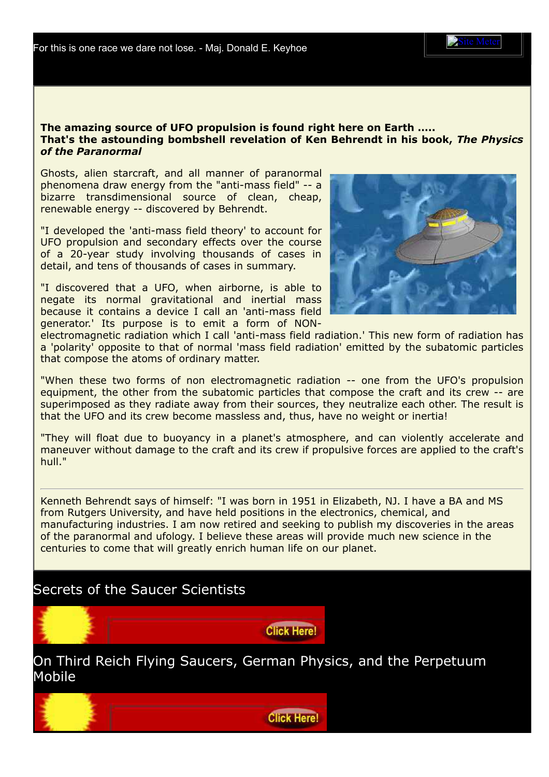For this is one race we dare not lose. Maj. Donald E. Keyhoe

Site [Meter](http://sm8.sitemeter.com/stats.asp?site=sm8blacksun)

## The amazing source of UFO propulsion is found right here on Earth ….. That's the astounding bombshell revelation of Ken Behrendt in his book, *The Physics of the Paranormal*

Ghosts, alien starcraft, and all manner of paranormal phenomena draw energy from the "anti-mass field" -- a bizarre transdimensional source of clean, cheap, renewable energy -- discovered by Behrendt.

"I developed the 'anti-mass field theory' to account for UFO propulsion and secondary effects over the course of a 20-year study involving thousands of cases in detail, and tens of thousands of cases in summary.

"I discovered that a UFO, when airborne, is able to negate its normal gravitational and inertial mass because it contains a device I call an 'anti-mass field generator.' Its purpose is to emit a form of NON-



electromagnetic radiation which I call 'anti-mass field radiation.' This new form of radiation has a 'polarity' opposite to that of normal 'mass field radiation' emitted by the subatomic particles that compose the atoms of ordinary matter.

"When these two forms of non electromagnetic radiation -- one from the UFO's propulsion equipment, the other from the subatomic particles that compose the craft and its crew -- are superimposed as they radiate away from their sources, they neutralize each other. The result is that the UFO and its crew become massless and, thus, have no weight or inertia!

"They will float due to buoyancy in a planet's atmosphere, and can violently accelerate and maneuver without damage to the craft and its crew if propulsive forces are applied to the craft's hull."

Kenneth Behrendt says of himself: "I was born in 1951 in Elizabeth, NJ. I have a BA and MS from Rutgers University, and have held positions in the electronics, chemical, and manufacturing industries. I am now retired and seeking to publish my discoveries in the areas of the paranormal and ufology. I believe these areas will provide much new science in the centuries to come that will greatly enrich human life on our planet.

## Secrets of the Saucer Scientists



On Third Reich Flying Saucers, German Physics, and the Perpetuum Mobile

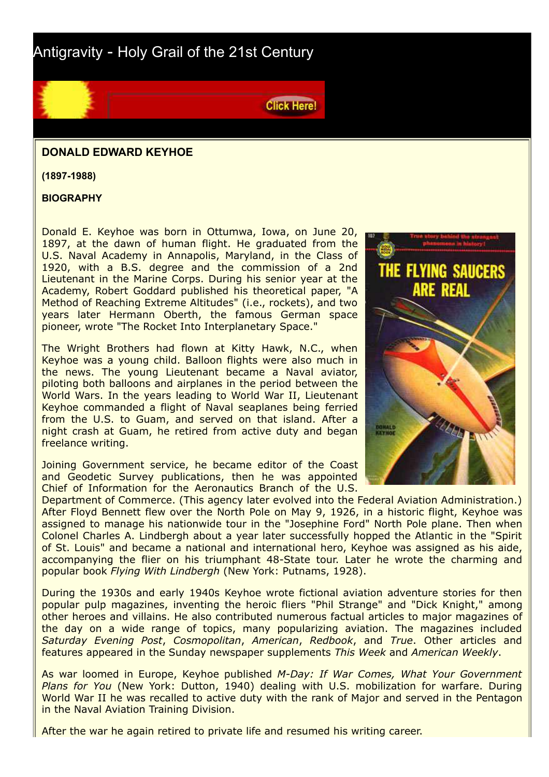Antigravity - Holy Grail of the 21st Century



(1897-1988)

**BIOGRAPHY** 

Donald E. Keyhoe was born in Ottumwa, Iowa, on June 20, 1897, at the dawn of human flight. He graduated from the U.S. Naval Academy in Annapolis, Maryland, in the Class of 1920, with a B.S. degree and the commission of a 2nd Lieutenant in the Marine Corps. During his senior year at the Academy, Robert Goddard published his theoretical paper, "A Method of Reaching Extreme Altitudes" (i.e., rockets), and two years later Hermann Oberth, the famous German space pioneer, wrote "The Rocket Into Interplanetary Space."

The Wright Brothers had flown at Kitty Hawk, N.C., when Keyhoe was a young child. Balloon flights were also much in the news. The young Lieutenant became a Naval aviator, piloting both balloons and airplanes in the period between the World Wars. In the years leading to World War II, Lieutenant Keyhoe commanded a flight of Naval seaplanes being ferried from the U.S. to Guam, and served on that island. After a night crash at Guam, he retired from active duty and began freelance writing.

Joining Government service, he became editor of the Coast and Geodetic Survey publications, then he was appointed Chief of Information for the Aeronautics Branch of the U.S.



Department of Commerce. (This agency later evolved into the Federal Aviation Administration.) After Floyd Bennett flew over the North Pole on May 9, 1926, in a historic flight, Keyhoe was assigned to manage his nationwide tour in the "Josephine Ford" North Pole plane. Then when Colonel Charles A. Lindbergh about a year later successfully hopped the Atlantic in the "Spirit of St. Louis" and became a national and international hero, Keyhoe was assigned as his aide, accompanying the flier on his triumphant 48-State tour. Later he wrote the charming and popular book *Flying With Lindbergh* (New York: Putnams, 1928).

**Click Here!** 

During the 1930s and early 1940s Keyhoe wrote fictional aviation adventure stories for then popular pulp magazines, inventing the heroic fliers "Phil Strange" and "Dick Knight," among other heroes and villains. He also contributed numerous factual articles to major magazines of the day on a wide range of topics, many popularizing aviation. The magazines included *Saturday Evening Post*, *Cosmopolitan*, *American*, *Redbook*, and *True*. Other articles and features appeared in the Sunday newspaper supplements *This Week* and *American Weekly*.

As war loomed in Europe, Keyhoe published M-Day: If War Comes, What Your Government *Plans for You* (New York: Dutton, 1940) dealing with U.S. mobilization for warfare. During World War II he was recalled to active duty with the rank of Major and served in the Pentagon in the Naval Aviation Training Division.

After the war he again retired to private life and [resumed](http://bell.greyfalcon.us/nick.htm) his writing career.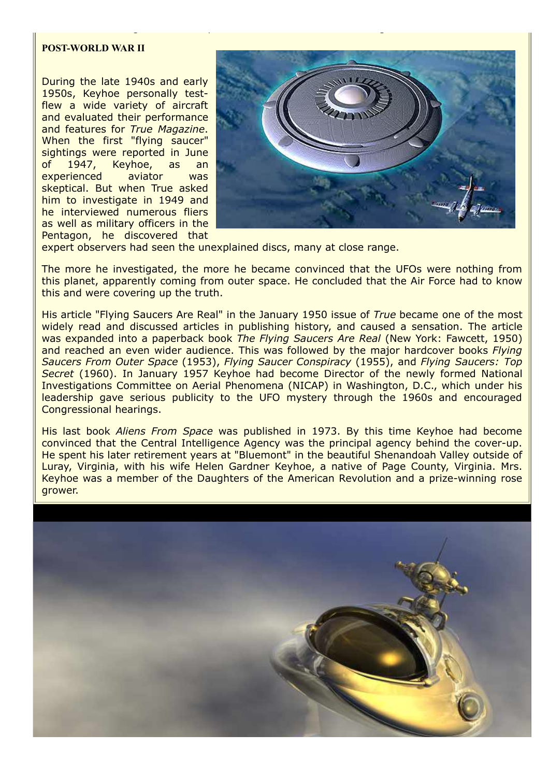## **POST-WORLD WAR II**

During the late 1940s and early 1950s, Keyhoe personally testflew a wide variety of aircraft and evaluated their performance and features for *True Magazine*. When the first "flying saucer" sightings were reported in June of 1947, Keyhoe, as an experienced aviator was skeptical. But when True asked him to investigate in 1949 and he interviewed numerous fliers as well as military officers in the Pentagon, he discovered that



expert observers had seen the unexplained discs, many at close range.

After the war he again retired to private life and resumed his writing career.

The more he investigated, the more he became convinced that the UFOs were nothing from this planet, apparently coming from outer space. He concluded that the Air Force had to know this and were covering up the truth.

His article "Flying Saucers Are Real" in the January 1950 issue of *True* became one of the most widely read and discussed articles in publishing history, and caused a sensation. The article was expanded into a paperback book *The Flying Saucers Are Real* (New York: Fawcett, 1950) and reached an even wider audience. This was followed by the major hardcover books *Flying Saucers From Outer Space* (1953), *Flying Saucer Conspiracy* (1955), and *Flying Saucers: Top Secret* (1960). In January 1957 Keyhoe had become Director of the newly formed National Investigations Committee on Aerial Phenomena (NICAP) in Washington, D.C., which under his leadership gave serious publicity to the UFO mystery through the 1960s and encouraged Congressional hearings.

His last book *Aliens From Space* was published in 1973. By this time Keyhoe had become convinced that the Central Intelligence Agency was the principal agency behind the cover-up. He spent his later retirement years at "Bluemont" in the beautiful Shenandoah Valley outside of Luray, Virginia, with his wife Helen Gardner Keyhoe, a native of Page County, Virginia. Mrs. Keyhoe was a member of the Daughters of the American Revolution and a prize-winning rose grower.